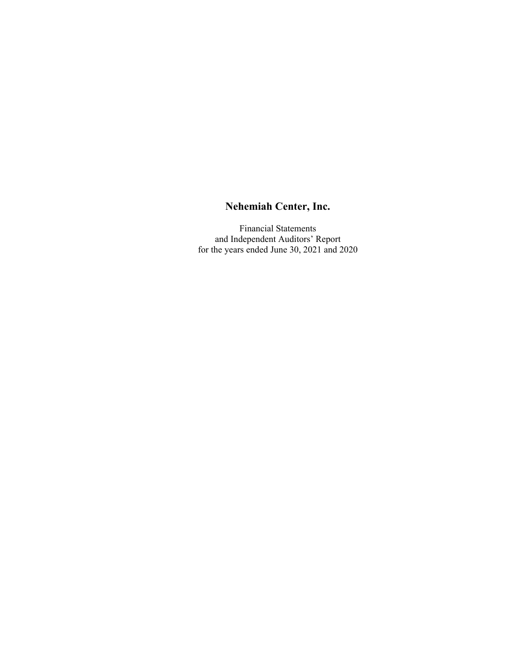Financial Statements and Independent Auditors' Report for the years ended June 30, 2021 and 2020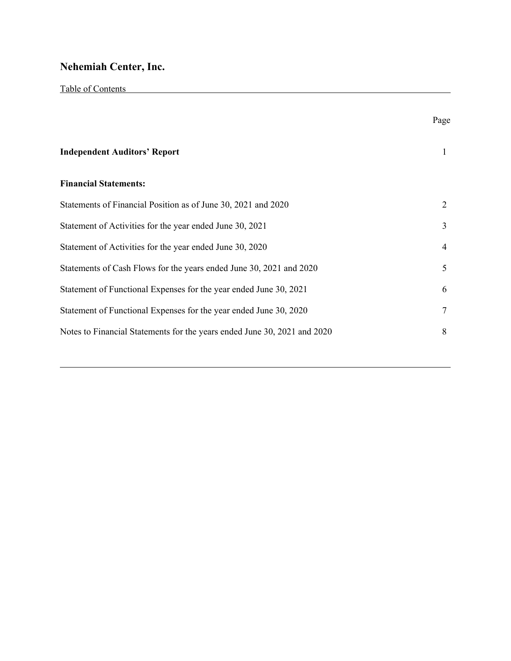|                                                                          | Page |
|--------------------------------------------------------------------------|------|
| <b>Independent Auditors' Report</b>                                      | 1    |
| <b>Financial Statements:</b>                                             |      |
| Statements of Financial Position as of June 30, 2021 and 2020            | 2    |
| Statement of Activities for the year ended June 30, 2021                 | 3    |
| Statement of Activities for the year ended June 30, 2020                 | 4    |
| Statements of Cash Flows for the years ended June 30, 2021 and 2020      | 5    |
| Statement of Functional Expenses for the year ended June 30, 2021        | 6    |
| Statement of Functional Expenses for the year ended June 30, 2020        |      |
| Notes to Financial Statements for the years ended June 30, 2021 and 2020 | 8    |
|                                                                          |      |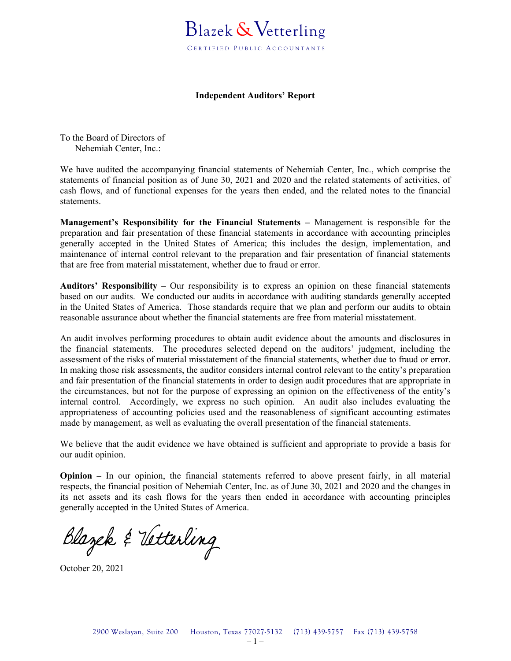

#### **Independent Auditors' Report**

To the Board of Directors of Nehemiah Center, Inc.:

We have audited the accompanying financial statements of Nehemiah Center, Inc., which comprise the statements of financial position as of June 30, 2021 and 2020 and the related statements of activities, of cash flows, and of functional expenses for the years then ended, and the related notes to the financial statements.

**Management's Responsibility for the Financial Statements –** Management is responsible for the preparation and fair presentation of these financial statements in accordance with accounting principles generally accepted in the United States of America; this includes the design, implementation, and maintenance of internal control relevant to the preparation and fair presentation of financial statements that are free from material misstatement, whether due to fraud or error.

**Auditors' Responsibility –** Our responsibility is to express an opinion on these financial statements based on our audits. We conducted our audits in accordance with auditing standards generally accepted in the United States of America. Those standards require that we plan and perform our audits to obtain reasonable assurance about whether the financial statements are free from material misstatement.

An audit involves performing procedures to obtain audit evidence about the amounts and disclosures in the financial statements. The procedures selected depend on the auditors' judgment, including the assessment of the risks of material misstatement of the financial statements, whether due to fraud or error. In making those risk assessments, the auditor considers internal control relevant to the entity's preparation and fair presentation of the financial statements in order to design audit procedures that are appropriate in the circumstances, but not for the purpose of expressing an opinion on the effectiveness of the entity's internal control. Accordingly, we express no such opinion. An audit also includes evaluating the appropriateness of accounting policies used and the reasonableness of significant accounting estimates made by management, as well as evaluating the overall presentation of the financial statements.

We believe that the audit evidence we have obtained is sufficient and appropriate to provide a basis for our audit opinion.

**Opinion –** In our opinion, the financial statements referred to above present fairly, in all material respects, the financial position of Nehemiah Center, Inc. as of June 30, 2021 and 2020 and the changes in its net assets and its cash flows for the years then ended in accordance with accounting principles generally accepted in the United States of America.

Blazek & Vetterling

October 20, 2021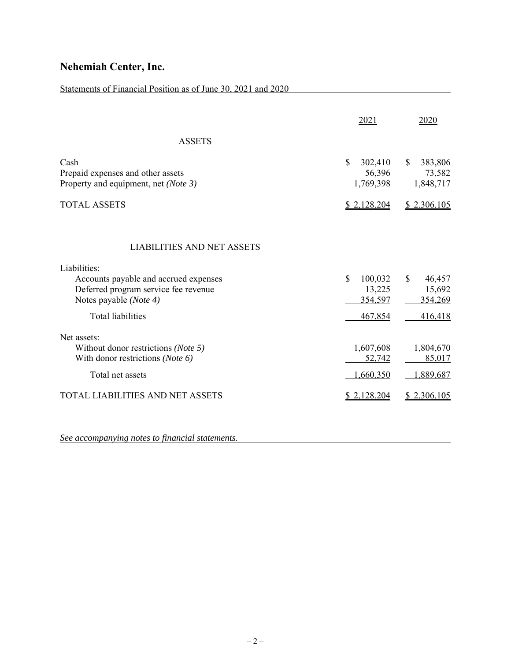### Statements of Financial Position as of June 30, 2021 and 2020

|                                                                                                                                                              | 2021                                            | 2020                                            |
|--------------------------------------------------------------------------------------------------------------------------------------------------------------|-------------------------------------------------|-------------------------------------------------|
| <b>ASSETS</b>                                                                                                                                                |                                                 |                                                 |
| Cash<br>Prepaid expenses and other assets<br>Property and equipment, net (Note 3)                                                                            | \$<br>302,410<br>56,396<br>1,769,398            | \$<br>383,806<br>73,582<br>1,848,717            |
| <b>TOTAL ASSETS</b>                                                                                                                                          | \$2,128,204                                     | \$2,306,105                                     |
| <b>LIABILITIES AND NET ASSETS</b><br>Liabilities:<br>Accounts payable and accrued expenses<br>Deferred program service fee revenue<br>Notes payable (Note 4) | $\mathbf S$<br>100,032<br>13,225<br>354,597     | $\mathcal{S}$<br>46,457<br>15,692<br>354,269    |
| <b>Total liabilities</b>                                                                                                                                     | 467,854                                         | 416,418                                         |
| Net assets:<br>Without donor restrictions (Note 5)<br>With donor restrictions (Note 6)<br>Total net assets<br>TOTAL LIABILITIES AND NET ASSETS               | 1,607,608<br>52,742<br>1,660,350<br>\$2,128,204 | 1,804,670<br>85,017<br>1,889,687<br>\$2,306,105 |
|                                                                                                                                                              |                                                 |                                                 |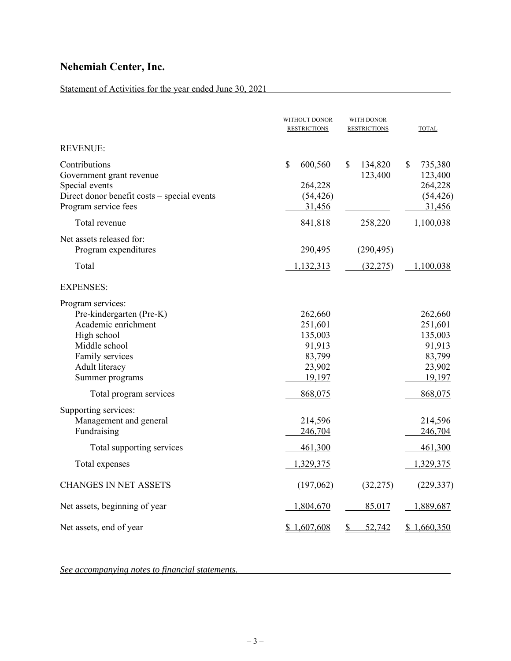### Statement of Activities for the year ended June 30, 2021

|                                                                                                                                                                                        | WITHOUT DONOR<br><b>RESTRICTIONS</b>                                             | WITH DONOR<br><b>RESTRICTIONS</b> | <b>TOTAL</b>                                                                     |
|----------------------------------------------------------------------------------------------------------------------------------------------------------------------------------------|----------------------------------------------------------------------------------|-----------------------------------|----------------------------------------------------------------------------------|
| <b>REVENUE:</b>                                                                                                                                                                        |                                                                                  |                                   |                                                                                  |
| Contributions<br>Government grant revenue<br>Special events<br>Direct donor benefit costs - special events<br>Program service fees                                                     | \$<br>600,560<br>264,228<br>(54, 426)<br>31,456                                  | \$<br>134,820<br>123,400          | \$<br>735,380<br>123,400<br>264,228<br>(54, 426)<br>31,456                       |
| Total revenue                                                                                                                                                                          | 841,818                                                                          | 258,220                           | 1,100,038                                                                        |
| Net assets released for:<br>Program expenditures<br>Total                                                                                                                              | 290,495<br>1,132,313                                                             | (290, 495)<br>(32, 275)           | 1,100,038                                                                        |
|                                                                                                                                                                                        |                                                                                  |                                   |                                                                                  |
| <b>EXPENSES:</b>                                                                                                                                                                       |                                                                                  |                                   |                                                                                  |
| Program services:<br>Pre-kindergarten (Pre-K)<br>Academic enrichment<br>High school<br>Middle school<br>Family services<br>Adult literacy<br>Summer programs<br>Total program services | 262,660<br>251,601<br>135,003<br>91,913<br>83,799<br>23,902<br>19,197<br>868,075 |                                   | 262,660<br>251,601<br>135,003<br>91,913<br>83,799<br>23,902<br>19,197<br>868,075 |
| Supporting services:                                                                                                                                                                   |                                                                                  |                                   |                                                                                  |
| Management and general<br>Fundraising                                                                                                                                                  | 214,596<br>246,704                                                               |                                   | 214,596<br>246,704                                                               |
| Total supporting services                                                                                                                                                              | 461,300                                                                          |                                   | 461,300                                                                          |
| Total expenses                                                                                                                                                                         | 1,329,375                                                                        |                                   | 1,329,375                                                                        |
| <b>CHANGES IN NET ASSETS</b>                                                                                                                                                           | (197,062)                                                                        | (32, 275)                         | (229, 337)                                                                       |
| Net assets, beginning of year                                                                                                                                                          | 1,804,670                                                                        | 85,017                            | 1,889,687                                                                        |
| Net assets, end of year                                                                                                                                                                | \$1,607,608                                                                      | $\mathbb{S}$<br>52,742            | \$1,660,350                                                                      |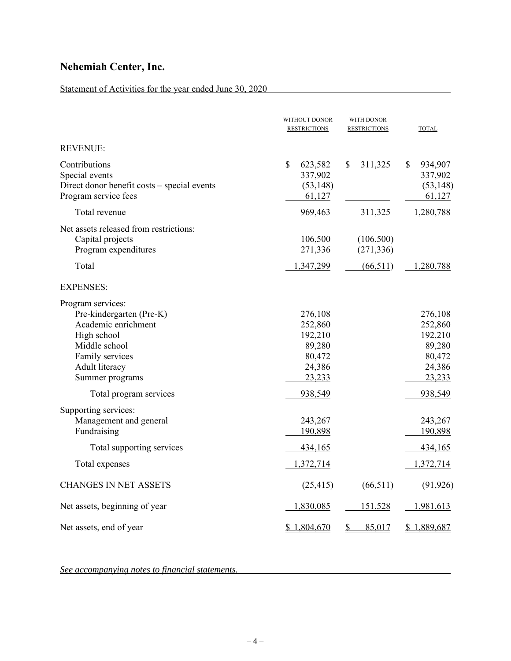### Statement of Activities for the year ended June 30, 2020

|                                                                                                                                                              | WITHOUT DONOR<br><b>RESTRICTIONS</b>                                  | WITH DONOR<br><b>RESTRICTIONS</b> | <b>TOTAL</b>                                                          |
|--------------------------------------------------------------------------------------------------------------------------------------------------------------|-----------------------------------------------------------------------|-----------------------------------|-----------------------------------------------------------------------|
| <b>REVENUE:</b>                                                                                                                                              |                                                                       |                                   |                                                                       |
| Contributions<br>Special events<br>Direct donor benefit costs - special events<br>Program service fees                                                       | \$<br>623,582<br>337,902<br>(53, 148)<br>61,127                       | \$<br>311,325                     | \$<br>934,907<br>337,902<br>(53, 148)<br>61,127                       |
| Total revenue                                                                                                                                                | 969,463                                                               | 311,325                           | 1,280,788                                                             |
| Net assets released from restrictions:<br>Capital projects<br>Program expenditures                                                                           | 106,500<br>271,336                                                    | (106, 500)<br>(271, 336)          |                                                                       |
| Total                                                                                                                                                        | 1,347,299                                                             | (66, 511)                         | 1,280,788                                                             |
| <b>EXPENSES:</b>                                                                                                                                             |                                                                       |                                   |                                                                       |
| Program services:<br>Pre-kindergarten (Pre-K)<br>Academic enrichment<br>High school<br>Middle school<br>Family services<br>Adult literacy<br>Summer programs | 276,108<br>252,860<br>192,210<br>89,280<br>80,472<br>24,386<br>23,233 |                                   | 276,108<br>252,860<br>192,210<br>89,280<br>80,472<br>24,386<br>23,233 |
| Total program services                                                                                                                                       | 938,549                                                               |                                   | 938,549                                                               |
| Supporting services:<br>Management and general<br>Fundraising                                                                                                | 243,267<br>190,898                                                    |                                   | 243,267<br>190,898                                                    |
| Total supporting services                                                                                                                                    | <u>434,165</u>                                                        |                                   | 434,165                                                               |
| Total expenses                                                                                                                                               | 1,372,714                                                             |                                   | 1,372,714                                                             |
| <b>CHANGES IN NET ASSETS</b>                                                                                                                                 | (25, 415)                                                             | (66, 511)                         | (91, 926)                                                             |
| Net assets, beginning of year                                                                                                                                | 1,830,085                                                             | 151,528                           | 1,981,613                                                             |
| Net assets, end of year                                                                                                                                      | \$1,804,670                                                           | $\mathbf{\mathcal{S}}$<br>85,017  | \$1,889,687                                                           |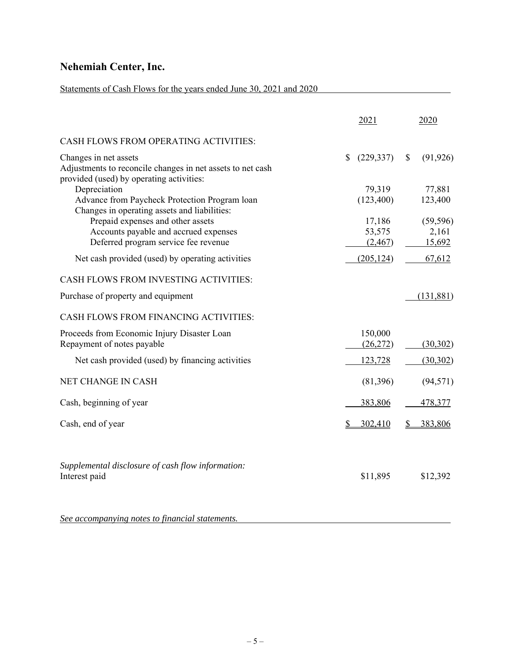### Statements of Cash Flows for the years ended June 30, 2021 and 2020

|                                                                                                                                 |              | 2021                 | 2020              |
|---------------------------------------------------------------------------------------------------------------------------------|--------------|----------------------|-------------------|
| CASH FLOWS FROM OPERATING ACTIVITIES:                                                                                           |              |                      |                   |
| Changes in net assets<br>Adjustments to reconcile changes in net assets to net cash<br>provided (used) by operating activities: | $\mathbb{S}$ | (229, 337)           | \$<br>(91, 926)   |
| Depreciation<br>Advance from Paycheck Protection Program loan<br>Changes in operating assets and liabilities:                   |              | 79,319<br>(123, 400) | 77,881<br>123,400 |
| Prepaid expenses and other assets                                                                                               |              | 17,186               | (59, 596)         |
| Accounts payable and accrued expenses<br>Deferred program service fee revenue                                                   |              | 53,575<br>(2,467)    | 2,161<br>15,692   |
|                                                                                                                                 |              |                      |                   |
| Net cash provided (used) by operating activities                                                                                |              | (205, 124)           | 67,612            |
| CASH FLOWS FROM INVESTING ACTIVITIES:                                                                                           |              |                      |                   |
| Purchase of property and equipment                                                                                              |              |                      | (131, 881)        |
| CASH FLOWS FROM FINANCING ACTIVITIES:                                                                                           |              |                      |                   |
| Proceeds from Economic Injury Disaster Loan<br>Repayment of notes payable                                                       |              | 150,000<br>(26,272)  | (30,302)          |
| Net cash provided (used) by financing activities                                                                                |              | 123,728              | (30,302)          |
| NET CHANGE IN CASH                                                                                                              |              | (81,396)             | (94, 571)         |
| Cash, beginning of year                                                                                                         |              | 383,806              | 478,377           |
| Cash, end of year                                                                                                               | \$           | 302,410              | 383,806           |
| Supplemental disclosure of cash flow information:<br>Interest paid                                                              |              | \$11,895             | \$12,392          |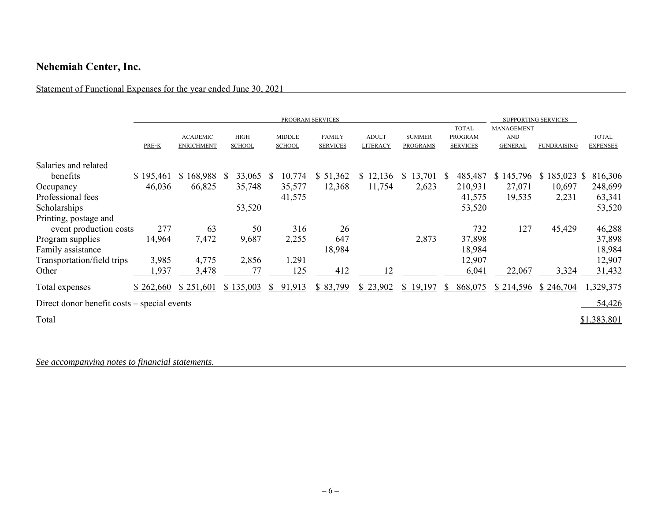### Statement of Functional Expenses for the year ended June 30, 2021

|                                             |           |                                      |                              | PROGRAM SERVICES               |                                  |                          |                                  |                                            |                                                   | <b>SUPPORTING SERVICES</b> |                                 |
|---------------------------------------------|-----------|--------------------------------------|------------------------------|--------------------------------|----------------------------------|--------------------------|----------------------------------|--------------------------------------------|---------------------------------------------------|----------------------------|---------------------------------|
|                                             | PRE-K     | <b>ACADEMIC</b><br><b>ENRICHMENT</b> | <b>HIGH</b><br><b>SCHOOL</b> | <b>MIDDLE</b><br><b>SCHOOL</b> | <b>FAMILY</b><br><b>SERVICES</b> | <b>ADULT</b><br>LITERACY | <b>SUMMER</b><br><b>PROGRAMS</b> | <b>TOTAL</b><br>PROGRAM<br><b>SERVICES</b> | <b>MANAGEMENT</b><br><b>AND</b><br><b>GENERAL</b> | <b>FUNDRAISING</b>         | <b>TOTAL</b><br><b>EXPENSES</b> |
| Salaries and related                        |           |                                      |                              |                                |                                  |                          |                                  |                                            |                                                   |                            |                                 |
| benefits                                    | \$195,461 | \$168,988                            | 33,065<br><sup>S</sup>       | 10,774<br><sup>S</sup>         | \$51,362                         | \$12,136                 | 13,701<br>S.                     | 485,487<br>S.                              | \$145,796                                         | $$185,023$ \$              | 816,306                         |
| Occupancy                                   | 46,036    | 66,825                               | 35,748                       | 35,577                         | 12,368                           | 11,754                   | 2,623                            | 210,931                                    | 27,071                                            | 10,697                     | 248,699                         |
| Professional fees                           |           |                                      |                              | 41,575                         |                                  |                          |                                  | 41,575                                     | 19,535                                            | 2,231                      | 63,341                          |
| Scholarships                                |           |                                      | 53,520                       |                                |                                  |                          |                                  | 53,520                                     |                                                   |                            | 53,520                          |
| Printing, postage and                       |           |                                      |                              |                                |                                  |                          |                                  |                                            |                                                   |                            |                                 |
| event production costs                      | 277       | 63                                   | 50                           | 316                            | 26                               |                          |                                  | 732                                        | 127                                               | 45,429                     | 46,288                          |
| Program supplies                            | 14,964    | 7,472                                | 9,687                        | 2,255                          | 647                              |                          | 2,873                            | 37,898                                     |                                                   |                            | 37,898                          |
| Family assistance                           |           |                                      |                              |                                | 18,984                           |                          |                                  | 18,984                                     |                                                   |                            | 18,984                          |
| Transportation/field trips                  | 3,985     | 4,775                                | 2,856                        | 1,291                          |                                  |                          |                                  | 12,907                                     |                                                   |                            | 12,907                          |
| Other                                       | .937      | 3,478                                | 77                           | 125                            | 412                              |                          |                                  | 6,041                                      | 22,067                                            | 3,324                      | 31,432                          |
| Total expenses                              | \$262,660 | \$251,601                            | \$135,003                    | 91,913                         | \$83,799                         | \$23,902                 | \$19,197                         | 868,075<br>S.                              | \$214,596                                         | \$246,704                  | 1,329,375                       |
| Direct donor benefit costs – special events |           |                                      |                              |                                |                                  |                          |                                  |                                            |                                                   |                            | 54,426                          |
| Total                                       |           |                                      |                              |                                |                                  |                          |                                  |                                            |                                                   |                            | \$1,383,801                     |
|                                             |           |                                      |                              |                                |                                  |                          |                                  |                                            |                                                   |                            |                                 |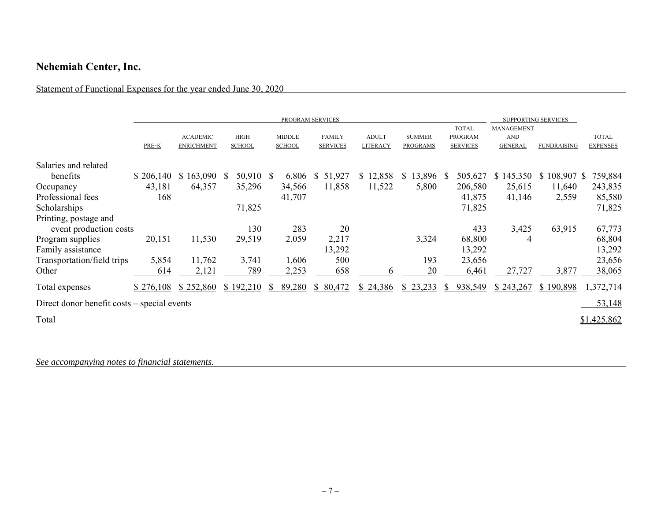### Statement of Functional Expenses for the year ended June 30, 2020

|                                             | PROGRAM SERVICES |                                      |                              |                                |                                  |                          |                                  |                                                   | <b>SUPPORTING SERVICES</b>                 |                    |                                 |
|---------------------------------------------|------------------|--------------------------------------|------------------------------|--------------------------------|----------------------------------|--------------------------|----------------------------------|---------------------------------------------------|--------------------------------------------|--------------------|---------------------------------|
|                                             | PRE-K            | <b>ACADEMIC</b><br><b>ENRICHMENT</b> | <b>HIGH</b><br><b>SCHOOL</b> | <b>MIDDLE</b><br><b>SCHOOL</b> | <b>FAMILY</b><br><b>SERVICES</b> | <b>ADULT</b><br>LITERACY | <b>SUMMER</b><br><b>PROGRAMS</b> | <b>TOTAL</b><br><b>PROGRAM</b><br><b>SERVICES</b> | MANAGEMENT<br><b>AND</b><br><b>GENERAL</b> | <b>FUNDRAISING</b> | <b>TOTAL</b><br><b>EXPENSES</b> |
| Salaries and related                        |                  |                                      |                              |                                |                                  |                          |                                  |                                                   |                                            |                    |                                 |
| benefits                                    | \$206,140        | \$163,090                            | 50,910 \$<br><sup>S</sup>    | 6,806                          | $\mathbb{S}$<br>51,927           | \$12,858                 | \$13,896                         | 505,627<br><sup>S</sup>                           | \$145,350                                  | $$108,907$ \$      | 759,884                         |
| Occupancy                                   | 43,181           | 64,357                               | 35,296                       | 34,566                         | 11,858                           | 11,522                   | 5,800                            | 206,580                                           | 25,615                                     | 11,640             | 243,835                         |
| Professional fees                           | 168              |                                      |                              | 41,707                         |                                  |                          |                                  | 41,875                                            | 41,146                                     | 2,559              | 85,580                          |
| Scholarships                                |                  |                                      | 71,825                       |                                |                                  |                          |                                  | 71,825                                            |                                            |                    | 71,825                          |
| Printing, postage and                       |                  |                                      |                              |                                |                                  |                          |                                  |                                                   |                                            |                    |                                 |
| event production costs                      |                  |                                      | 130                          | 283                            | 20                               |                          |                                  | 433                                               | 3,425                                      | 63,915             | 67,773                          |
| Program supplies                            | 20,151           | 11,530                               | 29,519                       | 2,059                          | 2,217                            |                          | 3,324                            | 68,800                                            | 4                                          |                    | 68,804                          |
| Family assistance                           |                  |                                      |                              |                                | 13,292                           |                          |                                  | 13,292                                            |                                            |                    | 13,292                          |
| Transportation/field trips                  | 5,854            | 11,762                               | 3,741                        | 1,606                          | 500                              |                          | 193                              | 23,656                                            |                                            |                    | 23,656                          |
| Other                                       | 614              | 2,121                                | 789                          | 2,253                          | 658                              |                          | 20                               | 6,461                                             | 27,727                                     | 3,877              | 38,065                          |
| Total expenses                              | \$276,108        | \$252,860                            | \$192,210                    | 89,280                         | \$80,472                         | \$24,386                 | \$23,233                         | 938,549<br>S.                                     | \$243,267                                  | \$190,898          | 1,372,714                       |
| Direct donor benefit costs – special events |                  |                                      |                              |                                |                                  |                          |                                  |                                                   |                                            |                    | 53,148                          |
| Total                                       |                  |                                      |                              |                                |                                  |                          |                                  |                                                   |                                            |                    | \$1,425,862                     |
|                                             |                  |                                      |                              |                                |                                  |                          |                                  |                                                   |                                            |                    |                                 |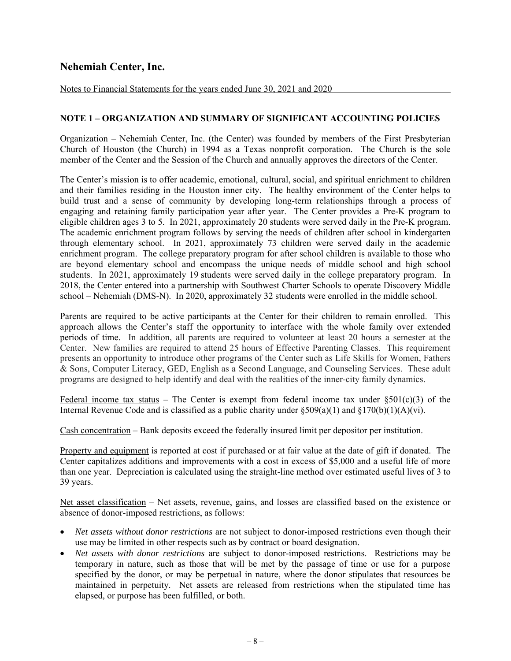Notes to Financial Statements for the years ended June 30, 2021 and 2020

#### **NOTE 1 – ORGANIZATION AND SUMMARY OF SIGNIFICANT ACCOUNTING POLICIES**

Organization – Nehemiah Center, Inc. (the Center) was founded by members of the First Presbyterian Church of Houston (the Church) in 1994 as a Texas nonprofit corporation. The Church is the sole member of the Center and the Session of the Church and annually approves the directors of the Center.

The Center's mission is to offer academic, emotional, cultural, social, and spiritual enrichment to children and their families residing in the Houston inner city. The healthy environment of the Center helps to build trust and a sense of community by developing long-term relationships through a process of engaging and retaining family participation year after year. The Center provides a Pre-K program to eligible children ages 3 to 5. In 2021, approximately 20 students were served daily in the Pre-K program. The academic enrichment program follows by serving the needs of children after school in kindergarten through elementary school. In 2021, approximately 73 children were served daily in the academic enrichment program. The college preparatory program for after school children is available to those who are beyond elementary school and encompass the unique needs of middle school and high school students. In 2021, approximately 19 students were served daily in the college preparatory program. In 2018, the Center entered into a partnership with Southwest Charter Schools to operate Discovery Middle school – Nehemiah (DMS-N). In 2020, approximately 32 students were enrolled in the middle school.

Parents are required to be active participants at the Center for their children to remain enrolled. This approach allows the Center's staff the opportunity to interface with the whole family over extended periods of time. In addition, all parents are required to volunteer at least 20 hours a semester at the Center. New families are required to attend 25 hours of Effective Parenting Classes. This requirement presents an opportunity to introduce other programs of the Center such as Life Skills for Women, Fathers & Sons, Computer Literacy, GED, English as a Second Language, and Counseling Services. These adult programs are designed to help identify and deal with the realities of the inner-city family dynamics.

Federal income tax status – The Center is exempt from federal income tax under  $\S501(c)(3)$  of the Internal Revenue Code and is classified as a public charity under  $\S509(a)(1)$  and  $\S170(b)(1)(A)(vi)$ .

Cash concentration – Bank deposits exceed the federally insured limit per depositor per institution.

Property and equipment is reported at cost if purchased or at fair value at the date of gift if donated. The Center capitalizes additions and improvements with a cost in excess of \$5,000 and a useful life of more than one year. Depreciation is calculated using the straight-line method over estimated useful lives of 3 to 39 years.

Net asset classification – Net assets, revenue, gains, and losses are classified based on the existence or absence of donor-imposed restrictions, as follows:

- *Net assets without donor restrictions* are not subject to donor-imposed restrictions even though their use may be limited in other respects such as by contract or board designation.
- *Net assets with donor restrictions* are subject to donor-imposed restrictions. Restrictions may be temporary in nature, such as those that will be met by the passage of time or use for a purpose specified by the donor, or may be perpetual in nature, where the donor stipulates that resources be maintained in perpetuity. Net assets are released from restrictions when the stipulated time has elapsed, or purpose has been fulfilled, or both.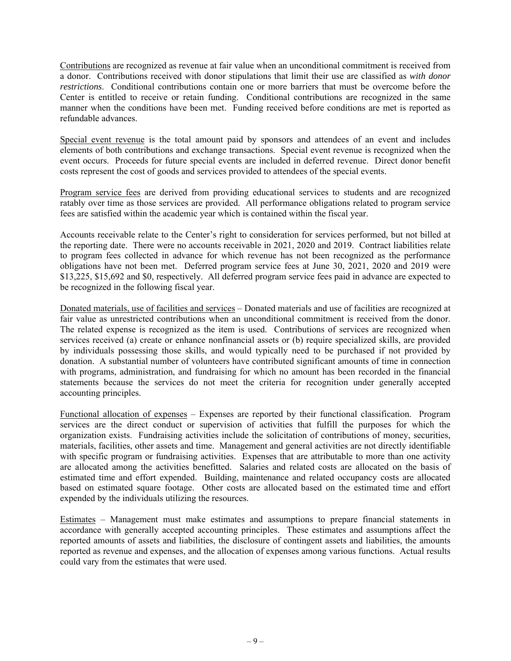Contributions are recognized as revenue at fair value when an unconditional commitment is received from a donor. Contributions received with donor stipulations that limit their use are classified as *with donor restrictions*. Conditional contributions contain one or more barriers that must be overcome before the Center is entitled to receive or retain funding. Conditional contributions are recognized in the same manner when the conditions have been met. Funding received before conditions are met is reported as refundable advances.

Special event revenue is the total amount paid by sponsors and attendees of an event and includes elements of both contributions and exchange transactions. Special event revenue is recognized when the event occurs. Proceeds for future special events are included in deferred revenue. Direct donor benefit costs represent the cost of goods and services provided to attendees of the special events.

Program service fees are derived from providing educational services to students and are recognized ratably over time as those services are provided. All performance obligations related to program service fees are satisfied within the academic year which is contained within the fiscal year.

Accounts receivable relate to the Center's right to consideration for services performed, but not billed at the reporting date. There were no accounts receivable in 2021, 2020 and 2019. Contract liabilities relate to program fees collected in advance for which revenue has not been recognized as the performance obligations have not been met. Deferred program service fees at June 30, 2021, 2020 and 2019 were \$13,225, \$15,692 and \$0, respectively. All deferred program service fees paid in advance are expected to be recognized in the following fiscal year.

Donated materials, use of facilities and services – Donated materials and use of facilities are recognized at fair value as unrestricted contributions when an unconditional commitment is received from the donor. The related expense is recognized as the item is used. Contributions of services are recognized when services received (a) create or enhance nonfinancial assets or (b) require specialized skills, are provided by individuals possessing those skills, and would typically need to be purchased if not provided by donation. A substantial number of volunteers have contributed significant amounts of time in connection with programs, administration, and fundraising for which no amount has been recorded in the financial statements because the services do not meet the criteria for recognition under generally accepted accounting principles.

Functional allocation of expenses – Expenses are reported by their functional classification. Program services are the direct conduct or supervision of activities that fulfill the purposes for which the organization exists. Fundraising activities include the solicitation of contributions of money, securities, materials, facilities, other assets and time. Management and general activities are not directly identifiable with specific program or fundraising activities. Expenses that are attributable to more than one activity are allocated among the activities benefitted. Salaries and related costs are allocated on the basis of estimated time and effort expended. Building, maintenance and related occupancy costs are allocated based on estimated square footage. Other costs are allocated based on the estimated time and effort expended by the individuals utilizing the resources.

Estimates – Management must make estimates and assumptions to prepare financial statements in accordance with generally accepted accounting principles. These estimates and assumptions affect the reported amounts of assets and liabilities, the disclosure of contingent assets and liabilities, the amounts reported as revenue and expenses, and the allocation of expenses among various functions. Actual results could vary from the estimates that were used.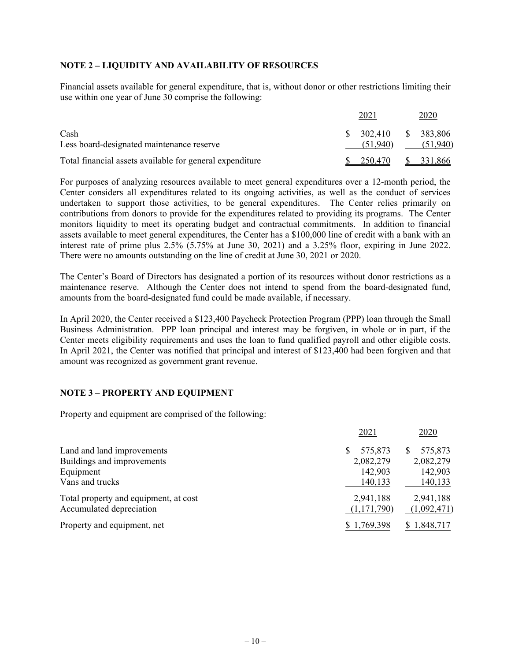### **NOTE 2 – LIQUIDITY AND AVAILABILITY OF RESOURCES**

Financial assets available for general expenditure, that is, without donor or other restrictions limiting their use within one year of June 30 comprise the following:

|                                                          |    | 2021                | 2020                   |
|----------------------------------------------------------|----|---------------------|------------------------|
| Cash<br>Less board-designated maintenance reserve        | -S | 302.410<br>(51.940) | \$ 383,806<br>(51,940) |
| Total financial assets available for general expenditure |    | 250.470             | \$ 331,866             |

For purposes of analyzing resources available to meet general expenditures over a 12-month period, the Center considers all expenditures related to its ongoing activities, as well as the conduct of services undertaken to support those activities, to be general expenditures. The Center relies primarily on contributions from donors to provide for the expenditures related to providing its programs. The Center monitors liquidity to meet its operating budget and contractual commitments. In addition to financial assets available to meet general expenditures, the Center has a \$100,000 line of credit with a bank with an interest rate of prime plus 2.5% (5.75% at June 30, 2021) and a 3.25% floor, expiring in June 2022. There were no amounts outstanding on the line of credit at June 30, 2021 or 2020.

The Center's Board of Directors has designated a portion of its resources without donor restrictions as a maintenance reserve. Although the Center does not intend to spend from the board-designated fund, amounts from the board-designated fund could be made available, if necessary.

In April 2020, the Center received a \$123,400 Paycheck Protection Program (PPP) loan through the Small Business Administration. PPP loan principal and interest may be forgiven, in whole or in part, if the Center meets eligibility requirements and uses the loan to fund qualified payroll and other eligible costs. In April 2021, the Center was notified that principal and interest of \$123,400 had been forgiven and that amount was recognized as government grant revenue.

### **NOTE 3 – PROPERTY AND EQUIPMENT**

Property and equipment are comprised of the following:

|                                                                   | 2021                      | 2020                     |
|-------------------------------------------------------------------|---------------------------|--------------------------|
| Land and land improvements<br>Buildings and improvements          | 575,873<br>S<br>2,082,279 | 575,873<br>2,082,279     |
| Equipment<br>Vans and trucks                                      | 142,903<br>140,133        | 142,903<br>140,133       |
| Total property and equipment, at cost<br>Accumulated depreciation | 2,941,188<br>(1,171,790)  | 2,941,188<br>(1,092,471) |
| Property and equipment, net                                       | \$1,769,398               | \$1,848,717              |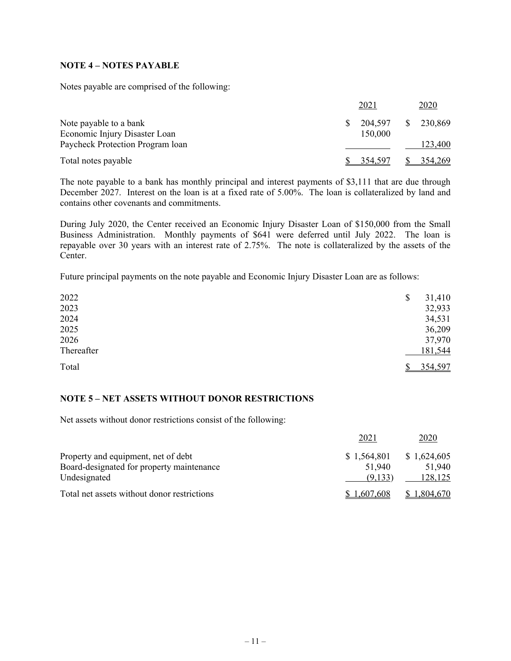### **NOTE 4 – NOTES PAYABLE**

Notes payable are comprised of the following:

|                                  | 2021 | 2020                               |
|----------------------------------|------|------------------------------------|
| Note payable to a bank           |      | 204,597<br><sup>S</sup><br>230.869 |
| Economic Injury Disaster Loan    |      | 150,000                            |
| Paycheck Protection Program loan |      | 123,400                            |
| Total notes payable              |      | <u>354,269</u><br>354.597          |

The note payable to a bank has monthly principal and interest payments of \$3,111 that are due through December 2027. Interest on the loan is at a fixed rate of 5.00%. The loan is collateralized by land and contains other covenants and commitments.

During July 2020, the Center received an Economic Injury Disaster Loan of \$150,000 from the Small Business Administration. Monthly payments of \$641 were deferred until July 2022. The loan is repayable over 30 years with an interest rate of 2.75%. The note is collateralized by the assets of the Center.

Future principal payments on the note payable and Economic Injury Disaster Loan are as follows:

| 2022       | 31,410<br>\$ |
|------------|--------------|
| 2023       | 32,933       |
| 2024       | 34,531       |
| 2025       | 36,209       |
| 2026       | 37,970       |
| Thereafter | 181,544      |
| Total      | 354,597      |

### **NOTE 5 – NET ASSETS WITHOUT DONOR RESTRICTIONS**

Net assets without donor restrictions consist of the following:

|                                             | 2021        | 2020        |
|---------------------------------------------|-------------|-------------|
| Property and equipment, net of debt         | \$1,564,801 | \$1,624,605 |
| Board-designated for property maintenance   | 51,940      | 51,940      |
| Undesignated                                | (9.133)     | 128,125     |
| Total net assets without donor restrictions | \$1,607,608 | \$1,804,670 |